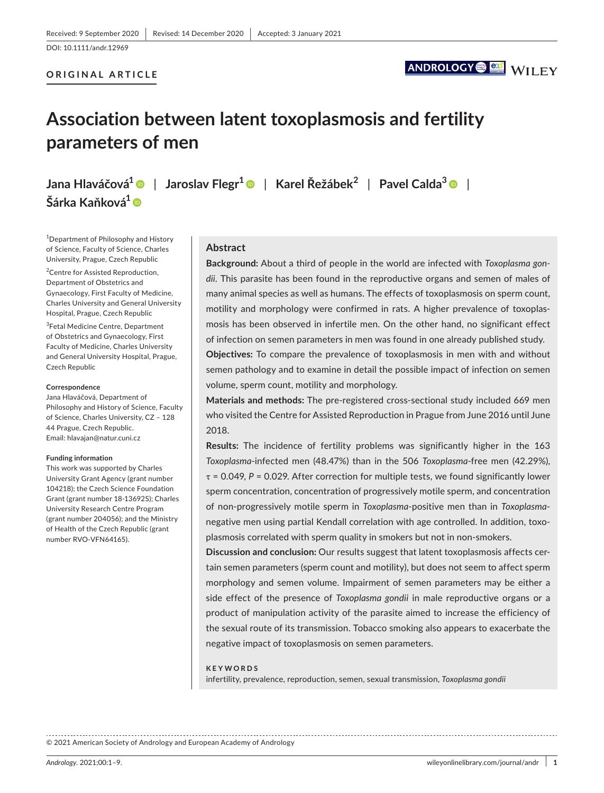DOI: 10.1111/andr.12969

#### **ORIGINAL ARTICLE**

## ANDROLOGY<sup>O</sup>

# **Association between latent toxoplasmosis and fertility parameters of men**

**Jana Hlaváčová[1](https://orcid.org/0000-0002-2011-895X)** | **Jaroslav Flegr<sup>1</sup>** | **Karel Řežábek<sup>2</sup>** | **Pavel Calda3** | **Šárka Kaňková1**

<sup>1</sup>Department of Philosophy and History of Science, Faculty of Science, Charles University, Prague, Czech Republic

<sup>2</sup> Centre for Assisted Reproduction, Department of Obstetrics and Gynaecology, First Faculty of Medicine, Charles University and General University Hospital, Prague, Czech Republic

3 Fetal Medicine Centre, Department of Obstetrics and Gynaecology, First Faculty of Medicine, Charles University and General University Hospital, Prague, Czech Republic

#### **Correspondence**

Jana Hlaváčová, Department of Philosophy and History of Science, Faculty of Science, Charles University, CZ – 128 44 Prague, Czech Republic. Email: [hlavajan@natur.cuni.cz](mailto:hlavajan@natur.cuni.cz)

#### **Funding information**

This work was supported by Charles University Grant Agency (grant number 104218); the Czech Science Foundation Grant (grant number 18-13692S); Charles University Research Centre Program (grant number 204056); and the Ministry of Health of the Czech Republic (grant number RVO-VFN64165).

#### **Abstract**

**Background:** About a third of people in the world are infected with *Toxoplasma gondii*. This parasite has been found in the reproductive organs and semen of males of many animal species as well as humans. The effects of toxoplasmosis on sperm count, motility and morphology were confirmed in rats. A higher prevalence of toxoplasmosis has been observed in infertile men. On the other hand, no significant effect of infection on semen parameters in men was found in one already published study.

**Objectives:** To compare the prevalence of toxoplasmosis in men with and without semen pathology and to examine in detail the possible impact of infection on semen volume, sperm count, motility and morphology.

**Materials and methods:** The pre-registered cross-sectional study included 669 men who visited the Centre for Assisted Reproduction in Prague from June 2016 until June 2018.

**Results:** The incidence of fertility problems was significantly higher in the 163 *Toxoplasma*-infected men (48.47%) than in the 506 *Toxoplasma*-free men (42.29%), τ = 0.049, *P* = 0.029. After correction for multiple tests, we found significantly lower sperm concentration, concentration of progressively motile sperm, and concentration of non-progressively motile sperm in *Toxoplasma*-positive men than in *Toxoplasma*negative men using partial Kendall correlation with age controlled. In addition, toxoplasmosis correlated with sperm quality in smokers but not in non-smokers.

**Discussion and conclusion:** Our results suggest that latent toxoplasmosis affects certain semen parameters (sperm count and motility), but does not seem to affect sperm morphology and semen volume. Impairment of semen parameters may be either a side effect of the presence of *Toxoplasma gondii* in male reproductive organs or a product of manipulation activity of the parasite aimed to increase the efficiency of the sexual route of its transmission. Tobacco smoking also appears to exacerbate the negative impact of toxoplasmosis on semen parameters.

#### **KEYWORDS**

infertility, prevalence, reproduction, semen, sexual transmission, *Toxoplasma gondii*

© 2021 American Society of Andrology and European Academy of Andrology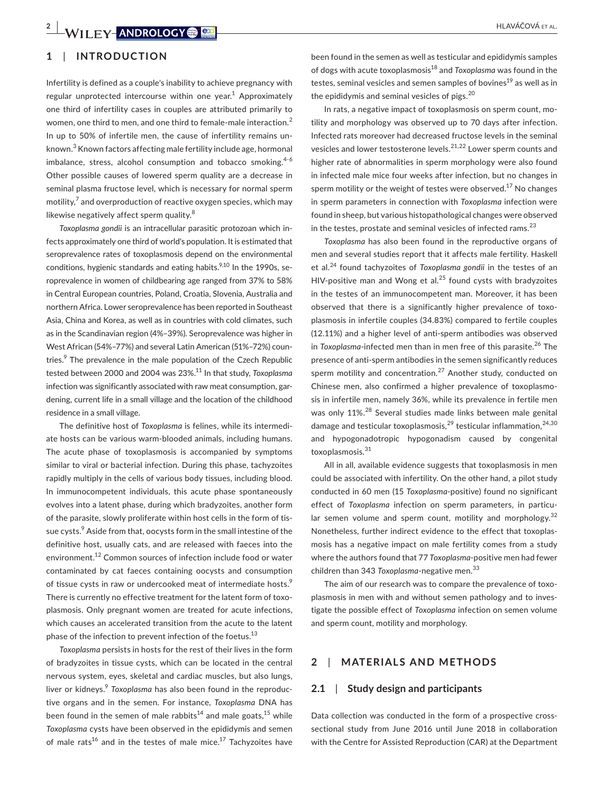## **1**  | **INTRODUCTION**

Infertility is defined as a couple's inability to achieve pregnancy with regular unprotected intercourse within one year.<sup>1</sup> Approximately one third of infertility cases in couples are attributed primarily to women, one third to men, and one third to female-male interaction.<sup>2</sup> In up to 50% of infertile men, the cause of infertility remains unknown.<sup>3</sup> Known factors affecting male fertility include age, hormonal imbalance, stress, alcohol consumption and tobacco smoking.<sup>4-6</sup> Other possible causes of lowered sperm quality are a decrease in seminal plasma fructose level, which is necessary for normal sperm motility, $^7$  and overproduction of reactive oxygen species, which may likewise negatively affect sperm quality.<sup>8</sup>

*Toxoplasma gondii* is an intracellular parasitic protozoan which infects approximately one third of world's population. It is estimated that seroprevalence rates of toxoplasmosis depend on the environmental conditions, hygienic standards and eating habits.<sup>9,10</sup> In the 1990s. seroprevalence in women of childbearing age ranged from 37% to 58% in Central European countries, Poland, Croatia, Slovenia, Australia and northern Africa. Lower seroprevalence has been reported in Southeast Asia, China and Korea, as well as in countries with cold climates, such as in the Scandinavian region (4%–39%). Seroprevalence was higher in West African (54%–77%) and several Latin American (51%–72%) countries.<sup>9</sup> The prevalence in the male population of the Czech Republic tested between 2000 and 2004 was 23%.<sup>11</sup> In that study, *Toxoplasma* infection was significantly associated with raw meat consumption, gardening, current life in a small village and the location of the childhood residence in a small village.

The definitive host of *Toxoplasma* is felines, while its intermediate hosts can be various warm-blooded animals, including humans. The acute phase of toxoplasmosis is accompanied by symptoms similar to viral or bacterial infection. During this phase, tachyzoites rapidly multiply in the cells of various body tissues, including blood. In immunocompetent individuals, this acute phase spontaneously evolves into a latent phase, during which bradyzoites, another form of the parasite, slowly proliferate within host cells in the form of tissue cysts.<sup>9</sup> Aside from that, oocysts form in the small intestine of the definitive host, usually cats, and are released with faeces into the environment.<sup>12</sup> Common sources of infection include food or water contaminated by cat faeces containing oocysts and consumption of tissue cysts in raw or undercooked meat of intermediate hosts.<sup>9</sup> There is currently no effective treatment for the latent form of toxoplasmosis. Only pregnant women are treated for acute infections, which causes an accelerated transition from the acute to the latent phase of the infection to prevent infection of the foetus. $^{13}$ 

*Toxoplasma* persists in hosts for the rest of their lives in the form of bradyzoites in tissue cysts, which can be located in the central nervous system, eyes, skeletal and cardiac muscles, but also lungs, liver or kidneys.<sup>9</sup> *Toxoplasma* has also been found in the reproductive organs and in the semen. For instance, *Toxoplasma* DNA has been found in the semen of male rabbits<sup>14</sup> and male goats,<sup>15</sup> while *Toxoplasma* cysts have been observed in the epididymis and semen of male rats<sup>16</sup> and in the testes of male mice.<sup>17</sup> Tachyzoites have

been found in the semen as well as testicular and epididymis samples of dogs with acute toxoplasmosis18 and *Toxoplasma* was found in the testes, seminal vesicles and semen samples of bovines<sup>19</sup> as well as in the epididymis and seminal vesicles of pigs.<sup>20</sup>

In rats, a negative impact of toxoplasmosis on sperm count, motility and morphology was observed up to 70 days after infection. Infected rats moreover had decreased fructose levels in the seminal vesicles and lower testosterone levels.<sup>21,22</sup> Lower sperm counts and higher rate of abnormalities in sperm morphology were also found in infected male mice four weeks after infection, but no changes in sperm motility or the weight of testes were observed.<sup>17</sup> No changes in sperm parameters in connection with *Toxoplasma* infection were found in sheep, but various histopathological changes were observed in the testes, prostate and seminal vesicles of infected rams. $^{23}$ 

*Toxoplasma* has also been found in the reproductive organs of men and several studies report that it affects male fertility. Haskell et al.24 found tachyzoites of *Toxoplasma gondii* in the testes of an HIV-positive man and Wong et al. $25$  found cysts with bradyzoites in the testes of an immunocompetent man. Moreover, it has been observed that there is a significantly higher prevalence of toxoplasmosis in infertile couples (34.83%) compared to fertile couples (12.11%) and a higher level of anti-sperm antibodies was observed in *Toxoplasma*-infected men than in men free of this parasite.<sup>26</sup> The presence of anti-sperm antibodies in the semen significantly reduces sperm motility and concentration.<sup>27</sup> Another study, conducted on Chinese men, also confirmed a higher prevalence of toxoplasmosis in infertile men, namely 36%, while its prevalence in fertile men was only 11%<sup>28</sup> Several studies made links between male genital damage and testicular toxoplasmosis,<sup>29</sup> testicular inflammation,<sup>24,30</sup> and hypogonadotropic hypogonadism caused by congenital toxoplasmosis.<sup>31</sup>

All in all, available evidence suggests that toxoplasmosis in men could be associated with infertility. On the other hand, a pilot study conducted in 60 men (15 *Toxoplasma*-positive) found no significant effect of *Toxoplasma* infection on sperm parameters, in particular semen volume and sperm count, motility and morphology. $32$ Nonetheless, further indirect evidence to the effect that toxoplasmosis has a negative impact on male fertility comes from a study where the authors found that 77 *Toxoplasma*-positive men had fewer children than 343 *Toxoplasma*-negative men.<sup>33</sup>

The aim of our research was to compare the prevalence of toxoplasmosis in men with and without semen pathology and to investigate the possible effect of *Toxoplasma* infection on semen volume and sperm count, motility and morphology.

## **2**  | **MATERIALS AND METHODS**

#### **2.1**  | **Study design and participants**

Data collection was conducted in the form of a prospective crosssectional study from June 2016 until June 2018 in collaboration with the Centre for Assisted Reproduction (CAR) at the Department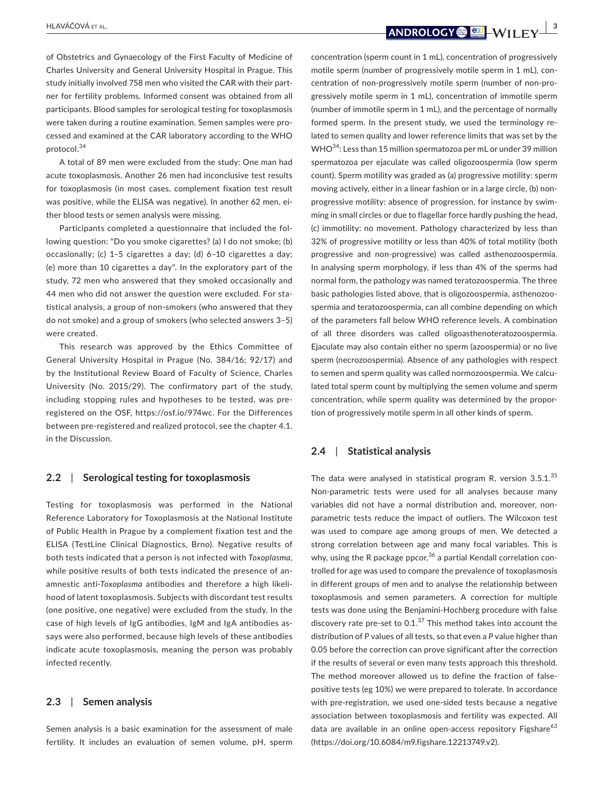HLAVÁČOVÁ et al. **<sup>|</sup> 3**

of Obstetrics and Gynaecology of the First Faculty of Medicine of Charles University and General University Hospital in Prague. This study initially involved 758 men who visited the CAR with their partner for fertility problems. Informed consent was obtained from all participants. Blood samples for serological testing for toxoplasmosis were taken during a routine examination. Semen samples were processed and examined at the CAR laboratory according to the WHO protocol.<sup>34</sup>

A total of 89 men were excluded from the study: One man had acute toxoplasmosis. Another 26 men had inconclusive test results for toxoplasmosis (in most cases, complement fixation test result was positive, while the ELISA was negative). In another 62 men, either blood tests or semen analysis were missing.

Participants completed a questionnaire that included the following question: "Do you smoke cigarettes? (a) I do not smoke; (b) occasionally; (c) 1–5 cigarettes a day; (d) 6–10 cigarettes a day; (e) more than 10 cigarettes a day". In the exploratory part of the study, 72 men who answered that they smoked occasionally and 44 men who did not answer the question were excluded. For statistical analysis, a group of non-smokers (who answered that they do not smoke) and a group of smokers (who selected answers 3–5) were created.

This research was approved by the Ethics Committee of General University Hospital in Prague (No. 384/16; 92/17) and by the Institutional Review Board of Faculty of Science, Charles University (No. 2015/29). The confirmatory part of the study, including stopping rules and hypotheses to be tested, was preregistered on the OSF, [https://osf.io/974wc.](https://osf.io/974wc) For the Differences between pre-registered and realized protocol, see the chapter 4.1. in the Discussion.

#### **2.2**  | **Serological testing for toxoplasmosis**

Testing for toxoplasmosis was performed in the National Reference Laboratory for Toxoplasmosis at the National Institute of Public Health in Prague by a complement fixation test and the ELISA (TestLine Clinical Diagnostics, Brno). Negative results of both tests indicated that a person is not infected with *Toxoplasma*, while positive results of both tests indicated the presence of anamnestic anti-*Toxoplasma* antibodies and therefore a high likelihood of latent toxoplasmosis. Subjects with discordant test results (one positive, one negative) were excluded from the study. In the case of high levels of IgG antibodies, IgM and IgA antibodies assays were also performed, because high levels of these antibodies indicate acute toxoplasmosis, meaning the person was probably infected recently.

#### **2.3**  | **Semen analysis**

Semen analysis is a basic examination for the assessment of male fertility. It includes an evaluation of semen volume, pH, sperm

concentration (sperm count in 1 mL), concentration of progressively motile sperm (number of progressively motile sperm in 1 mL), concentration of non-progressively motile sperm (number of non-progressively motile sperm in 1 mL), concentration of immotile sperm (number of immotile sperm in 1 mL), and the percentage of normally formed sperm. In the present study, we used the terminology related to semen quality and lower reference limits that was set by the WHO34: Less than 15 million spermatozoa per mL or under 39 million spermatozoa per ejaculate was called oligozoospermia (low sperm count). Sperm motility was graded as (a) progressive motility: sperm moving actively, either in a linear fashion or in a large circle, (b) nonprogressive motility: absence of progression, for instance by swimming in small circles or due to flagellar force hardly pushing the head, (c) immotility: no movement. Pathology characterized by less than 32% of progressive motility or less than 40% of total motility (both progressive and non-progressive) was called asthenozoospermia. In analysing sperm morphology, if less than 4% of the sperms had normal form, the pathology was named teratozoospermia. The three basic pathologies listed above, that is oligozoospermia, asthenozoospermia and teratozoospermia, can all combine depending on which of the parameters fall below WHO reference levels. A combination of all three disorders was called oligoasthenoteratozoospermia. Ejaculate may also contain either no sperm (azoospermia) or no live sperm (necrozoospermia). Absence of any pathologies with respect to semen and sperm quality was called normozoospermia. We calculated total sperm count by multiplying the semen volume and sperm concentration, while sperm quality was determined by the proportion of progressively motile sperm in all other kinds of sperm.

#### **2.4**  | **Statistical analysis**

The data were analysed in statistical program R, version 3.5.1.<sup>35</sup> Non-parametric tests were used for all analyses because many variables did not have a normal distribution and, moreover, nonparametric tests reduce the impact of outliers. The Wilcoxon test was used to compare age among groups of men. We detected a strong correlation between age and many focal variables. This is why, using the R package ppcor,  $36$  a partial Kendall correlation controlled for age was used to compare the prevalence of toxoplasmosis in different groups of men and to analyse the relationship between toxoplasmosis and semen parameters. A correction for multiple tests was done using the Benjamini-Hochberg procedure with false discovery rate pre-set to  $0.1$ . <sup>37</sup> This method takes into account the distribution of *P* values of all tests, so that even a *P* value higher than 0.05 before the correction can prove significant after the correction if the results of several or even many tests approach this threshold. The method moreover allowed us to define the fraction of falsepositive tests (eg 10%) we were prepared to tolerate. In accordance with pre-registration, we used one-sided tests because a negative association between toxoplasmosis and fertility was expected. All data are available in an online open-access repository Figshare<sup>63</sup> (<https://doi.org/10.6084/m9.figshare.12213749.v2>).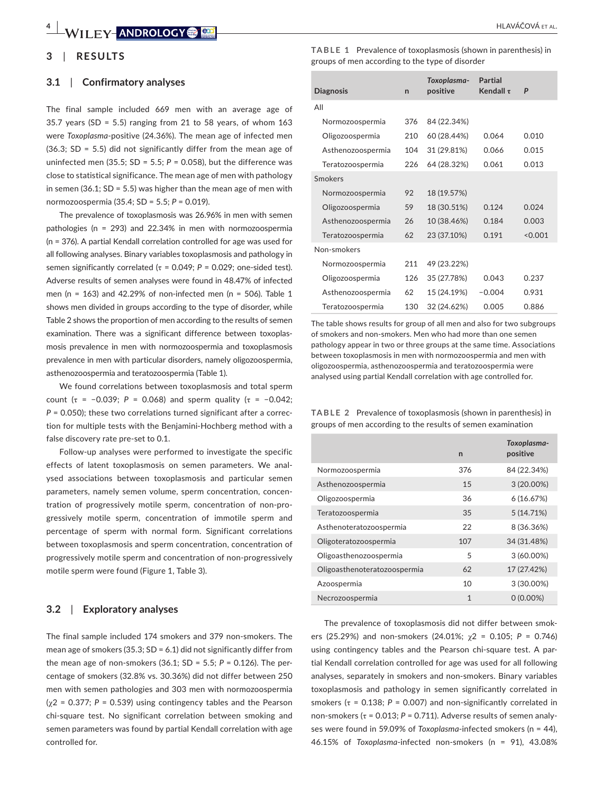#### **3**  | **RESULTS**

#### **3.1**  | **Confirmatory analyses**

The final sample included 669 men with an average age of 35.7 years (SD = 5.5) ranging from 21 to 58 years, of whom  $163$ were *Toxoplasma*-positive (24.36%). The mean age of infected men (36.3; SD = 5.5) did not significantly differ from the mean age of uninfected men (35.5;  $SD = 5.5$ ;  $P = 0.058$ ), but the difference was close to statistical significance. The mean age of men with pathology in semen (36.1;  $SD = 5.5$ ) was higher than the mean age of men with normozoospermia (35.4; SD = 5.5; *P* = 0.019).

The prevalence of toxoplasmosis was 26.96% in men with semen pathologies (n = 293) and 22.34% in men with normozoospermia (n = 376). A partial Kendall correlation controlled for age was used for all following analyses. Binary variables toxoplasmosis and pathology in semen significantly correlated ( $τ = 0.049$ ;  $P = 0.029$ ; one-sided test). Adverse results of semen analyses were found in 48.47% of infected men (n = 163) and 42.29% of non-infected men (n = 506). Table 1 shows men divided in groups according to the type of disorder, while Table 2 shows the proportion of men according to the results of semen examination. There was a significant difference between toxoplasmosis prevalence in men with normozoospermia and toxoplasmosis prevalence in men with particular disorders, namely oligozoospermia, asthenozoospermia and teratozoospermia (Table 1).

We found correlations between toxoplasmosis and total sperm count ( $\tau$  = -0.039; *P* = 0.068) and sperm quality ( $\tau$  = -0.042; *P* = 0.050); these two correlations turned significant after a correction for multiple tests with the Benjamini-Hochberg method with a false discovery rate pre-set to 0.1.

Follow-up analyses were performed to investigate the specific effects of latent toxoplasmosis on semen parameters. We analysed associations between toxoplasmosis and particular semen parameters, namely semen volume, sperm concentration, concentration of progressively motile sperm, concentration of non-progressively motile sperm, concentration of immotile sperm and percentage of sperm with normal form. Significant correlations between toxoplasmosis and sperm concentration, concentration of progressively motile sperm and concentration of non-progressively motile sperm were found (Figure 1, Table 3).

#### **3.2**  | **Exploratory analyses**

The final sample included 174 smokers and 379 non-smokers. The mean age of smokers (35.3; SD = 6.1) did not significantly differ from the mean age of non-smokers (36.1; SD = 5.5; *P* = 0.126). The percentage of smokers (32.8% vs. 30.36%) did not differ between 250 men with semen pathologies and 303 men with normozoospermia  $(y2 = 0.377; P = 0.539)$  using contingency tables and the Pearson chi-square test. No significant correlation between smoking and semen parameters was found by partial Kendall correlation with age controlled for.

**TABLE 1** Prevalence of toxoplasmosis (shown in parenthesis) in groups of men according to the type of disorder

| <b>Diagnosis</b>  | $\mathsf{r}$ | Toxoplasma-<br>positive | Partial<br>Kendall $\tau$ | P       |
|-------------------|--------------|-------------------------|---------------------------|---------|
| All               |              |                         |                           |         |
| Normozoospermia   | 376          | 84 (22.34%)             |                           |         |
| Oligozoospermia   | 210          | 60 (28.44%)             | 0.064                     | 0.010   |
| Asthenozoospermia | 104          | 31 (29.81%)             | 0.066                     | 0.015   |
| Teratozoospermia  | 226          | 64 (28.32%)             | 0.061                     | 0.013   |
| Smokers           |              |                         |                           |         |
| Normozoospermia   | 92           | 18 (19.57%)             |                           |         |
| Oligozoospermia   | 59           | 18 (30.51%)             | 0.124                     | 0.024   |
| Asthenozoospermia | 26           | 10 (38.46%)             | 0.184                     | 0.003   |
| Teratozoospermia  | 62           | 23 (37.10%)             | 0.191                     | < 0.001 |
| Non-smokers       |              |                         |                           |         |
| Normozoospermia   | 211          | 49 (23.22%)             |                           |         |
| Oligozoospermia   | 126          | 35 (27.78%)             | 0.043                     | 0.237   |
| Asthenozoospermia | 62           | 15 (24.19%)             | $-0.004$                  | 0.931   |
| Teratozoospermia  | 130          | 32 (24.62%)             | 0.005                     | 0.886   |

The table shows results for group of all men and also for two subgroups of smokers and non-smokers. Men who had more than one semen pathology appear in two or three groups at the same time. Associations between toxoplasmosis in men with normozoospermia and men with oligozoospermia, asthenozoospermia and teratozoospermia were analysed using partial Kendall correlation with age controlled for.

**TABLE 2** Prevalence of toxoplasmosis (shown in parenthesis) in groups of men according to the results of semen examination

|                              | $\mathsf{n}$ | Toxoplasma-<br>positive |
|------------------------------|--------------|-------------------------|
| Normozoospermia              | 376          | 84 (22.34%)             |
| Asthenozoospermia            | 15           | 3 (20.00%)              |
| Oligozoospermia              | 36           | 6(16.67%)               |
| Teratozoospermia             | 35           | 5(14.71%)               |
| Asthenoteratozoospermia      | 22           | 8 (36.36%)              |
| Oligoteratozoospermia        | 107          | 34 (31.48%)             |
| Oligoasthenozoospermia       | 5            | $3(60.00\%)$            |
| Oligoasthenoteratozoospermia | 62           | 17 (27.42%)             |
| Azoospermia                  | 10           | 3 (30.00%)              |
| Necrozoospermia              | 1            | $0(0.00\%)$             |

The prevalence of toxoplasmosis did not differ between smokers (25.29%) and non-smokers (24.01%; χ2 = 0.105; *P* = 0.746) using contingency tables and the Pearson chi-square test. A partial Kendall correlation controlled for age was used for all following analyses, separately in smokers and non-smokers. Binary variables toxoplasmosis and pathology in semen significantly correlated in smokers ( $\tau$  = 0.138;  $P$  = 0.007) and non-significantly correlated in non-smokers (τ = 0.013; *P* = 0.711). Adverse results of semen analyses were found in 59.09% of *Toxoplasma*-infected smokers (n = 44), 46.15% of *Toxoplasma*-infected non-smokers (n = 91), 43.08%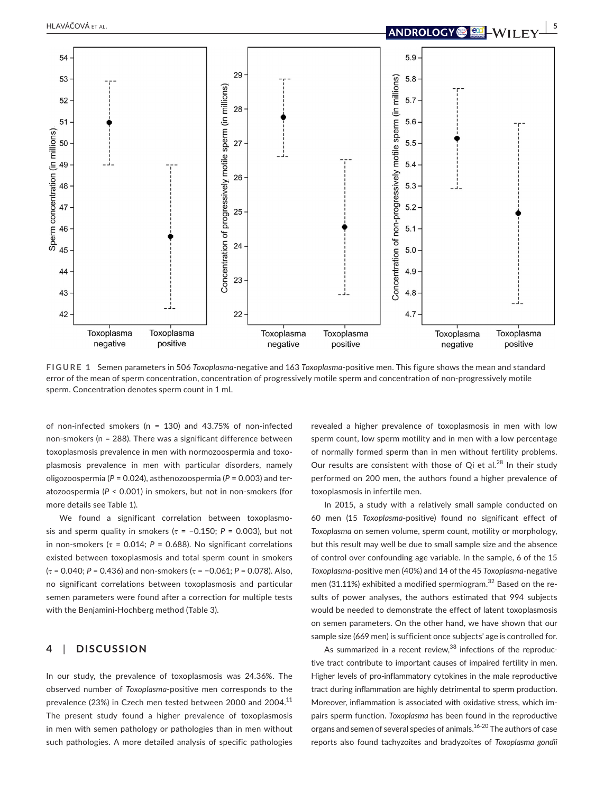

**FIGURE 1** Semen parameters in 506 *Toxoplasma*-negative and 163 *Toxoplasma*-positive men. This figure shows the mean and standard error of the mean of sperm concentration, concentration of progressively motile sperm and concentration of non-progressively motile sperm. Concentration denotes sperm count in 1 mL

of non-infected smokers (n = 130) and 43.75% of non-infected non-smokers (n = 288). There was a significant difference between toxoplasmosis prevalence in men with normozoospermia and toxoplasmosis prevalence in men with particular disorders, namely oligozoospermia (*P* = 0.024), asthenozoospermia (*P* = 0.003) and teratozoospermia (*P* < 0.001) in smokers, but not in non-smokers (for more details see Table 1).

We found a significant correlation between toxoplasmosis and sperm quality in smokers ( $\tau$  = -0.150;  $P$  = 0.003), but not in non-smokers ( $\tau$  = 0.014;  $P$  = 0.688). No significant correlations existed between toxoplasmosis and total sperm count in smokers (τ = 0.040; *P* = 0.436) and non-smokers (τ = −0.061; *P* = 0.078). Also, no significant correlations between toxoplasmosis and particular semen parameters were found after a correction for multiple tests with the Benjamini-Hochberg method (Table 3).

#### **4**  | **DISCUSSION**

In our study, the prevalence of toxoplasmosis was 24.36%. The observed number of *Toxoplasma*-positive men corresponds to the prevalence (23%) in Czech men tested between 2000 and 2004.<sup>11</sup> The present study found a higher prevalence of toxoplasmosis in men with semen pathology or pathologies than in men without such pathologies. A more detailed analysis of specific pathologies

revealed a higher prevalence of toxoplasmosis in men with low sperm count, low sperm motility and in men with a low percentage of normally formed sperm than in men without fertility problems. Our results are consistent with those of Qi et al. $^{28}$  In their study performed on 200 men, the authors found a higher prevalence of toxoplasmosis in infertile men.

In 2015, a study with a relatively small sample conducted on 60 men (15 *Toxoplasma*-positive) found no significant effect of *Toxoplasma* on semen volume, sperm count, motility or morphology, but this result may well be due to small sample size and the absence of control over confounding age variable. In the sample, 6 of the 15 *Toxoplasma*-positive men (40%) and 14 of the 45 *Toxoplasma*-negative men (31.11%) exhibited a modified spermiogram.<sup>32</sup> Based on the results of power analyses, the authors estimated that 994 subjects would be needed to demonstrate the effect of latent toxoplasmosis on semen parameters. On the other hand, we have shown that our sample size (669 men) is sufficient once subjects' age is controlled for.

As summarized in a recent review, $38$  infections of the reproductive tract contribute to important causes of impaired fertility in men. Higher levels of pro-inflammatory cytokines in the male reproductive tract during inflammation are highly detrimental to sperm production. Moreover, inflammation is associated with oxidative stress, which impairs sperm function. *Toxoplasma* has been found in the reproductive organs and semen of several species of animals.16-20 The authors of case reports also found tachyzoites and bradyzoites of *Toxoplasma gondii*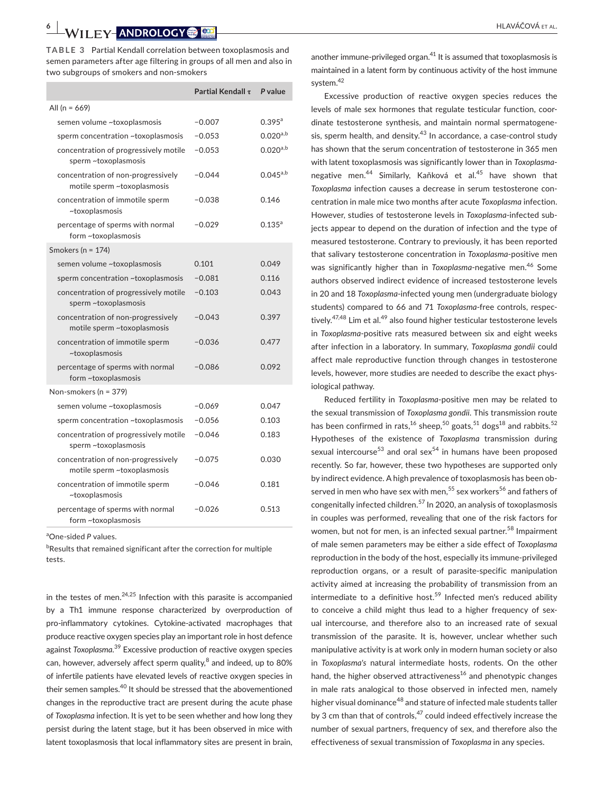**TABLE 3** Partial Kendall correlation between toxoplasmosis and semen parameters after age filtering in groups of all men and also in two subgroups of smokers and non-smokers

|                                                                   | Partial Kendall $\tau$ | P value       |
|-------------------------------------------------------------------|------------------------|---------------|
| All (n = $669$ )                                                  |                        |               |
| semen volume ~toxoplasmosis                                       | $-0.007$               | $0.395^{a}$   |
| sperm concentration ~toxoplasmosis                                | $-0.053$               | $0.020^{a,b}$ |
| concentration of progressively motile<br>sperm ~toxoplasmosis     | $-0.053$               | $0.020^{a,b}$ |
| concentration of non-progressively<br>motile sperm ~toxoplasmosis | $-0.044$               | $0.045^{a,b}$ |
| concentration of immotile sperm<br>~toxoplasmosis                 | $-0.038$               | 0.146         |
| percentage of sperms with normal<br>form ~toxoplasmosis           | $-0.029$               | $0.135^{a}$   |
| Smokers ( $n = 174$ )                                             |                        |               |
| semen volume ~toxoplasmosis                                       | 0.101                  | 0.049         |
| sperm concentration ~toxoplasmosis                                | $-0.081$               | 0.116         |
| concentration of progressively motile<br>sperm ~toxoplasmosis     | $-0.103$               | 0.043         |
| concentration of non-progressively<br>motile sperm ~toxoplasmosis | $-0.043$               | 0.397         |
| concentration of immotile sperm<br>~toxoplasmosis                 | $-0.036$               | 0.477         |
| percentage of sperms with normal<br>form ~toxoplasmosis           | $-0.086$               | 0.092         |
| Non-smokers (n = 379)                                             |                        |               |
| semen volume ~toxoplasmosis                                       | $-0.069$               | 0.047         |
| sperm concentration ~toxoplasmosis                                | $-0.056$               | 0.103         |
| concentration of progressively motile<br>sperm ~toxoplasmosis     | $-0.046$               | 0.183         |
| concentration of non-progressively<br>motile sperm ~toxoplasmosis | $-0.075$               | 0.030         |
| concentration of immotile sperm<br>~toxoplasmosis                 | $-0.046$               | 0.181         |
| percentage of sperms with normal<br>form ~toxoplasmosis           | $-0.026$               | 0.513         |

a One-sided *P* values.

<sup>b</sup>Results that remained significant after the correction for multiple tests.

in the testes of men. $24,25$  Infection with this parasite is accompanied by a Th1 immune response characterized by overproduction of pro-inflammatory cytokines. Cytokine-activated macrophages that produce reactive oxygen species play an important role in host defence against *Toxoplasma*. 39 Excessive production of reactive oxygen species can, however, adversely affect sperm quality, $^8$  and indeed, up to 80%  $\,$ of infertile patients have elevated levels of reactive oxygen species in their semen samples.<sup>40</sup> It should be stressed that the abovementioned changes in the reproductive tract are present during the acute phase of *Toxoplasma* infection. It is yet to be seen whether and how long they persist during the latent stage, but it has been observed in mice with latent toxoplasmosis that local inflammatory sites are present in brain,

another immune-privileged organ. $41$  It is assumed that toxoplasmosis is maintained in a latent form by continuous activity of the host immune system.42

Excessive production of reactive oxygen species reduces the levels of male sex hormones that regulate testicular function, coordinate testosterone synthesis, and maintain normal spermatogenesis, sperm health, and density.<sup>43</sup> In accordance, a case-control study has shown that the serum concentration of testosterone in 365 men with latent toxoplasmosis was significantly lower than in *Toxoplasma*negative men.<sup>44</sup> Similarly, Kaňková et al.<sup>45</sup> have shown that *Toxoplasma* infection causes a decrease in serum testosterone concentration in male mice two months after acute *Toxoplasma* infection. However, studies of testosterone levels in *Toxoplasma*-infected subjects appear to depend on the duration of infection and the type of measured testosterone. Contrary to previously, it has been reported that salivary testosterone concentration in *Toxoplasma*-positive men was significantly higher than in *Toxoplasma*-negative men.<sup>46</sup> Some authors observed indirect evidence of increased testosterone levels in 20 and 18 *Toxoplasma*-infected young men (undergraduate biology students) compared to 66 and 71 *Toxoplasma*-free controls, respectively.<sup>47,48</sup> Lim et al.<sup>49</sup> also found higher testicular testosterone levels in *Toxoplasma*-positive rats measured between six and eight weeks after infection in a laboratory. In summary, *Toxoplasma gondii* could affect male reproductive function through changes in testosterone levels, however, more studies are needed to describe the exact physiological pathway.

Reduced fertility in *Toxoplasma*-positive men may be related to the sexual transmission of *Toxoplasma gondii*. This transmission route has been confirmed in rats,<sup>16</sup> sheep,<sup>50</sup> goats,<sup>51</sup> dogs<sup>18</sup> and rabbits.<sup>52</sup> Hypotheses of the existence of *Toxoplasma* transmission during sexual intercourse<sup>53</sup> and oral sex<sup>54</sup> in humans have been proposed recently. So far, however, these two hypotheses are supported only by indirect evidence. A high prevalence of toxoplasmosis has been observed in men who have sex with men,<sup>55</sup> sex workers<sup>56</sup> and fathers of congenitally infected children.<sup>57</sup> In 2020, an analysis of toxoplasmosis in couples was performed, revealing that one of the risk factors for women, but not for men, is an infected sexual partner.<sup>58</sup> Impairment of male semen parameters may be either a side effect of *Toxoplasma* reproduction in the body of the host, especially its immune-privileged reproduction organs, or a result of parasite-specific manipulation activity aimed at increasing the probability of transmission from an intermediate to a definitive host.<sup>59</sup> Infected men's reduced ability to conceive a child might thus lead to a higher frequency of sexual intercourse, and therefore also to an increased rate of sexual transmission of the parasite. It is, however, unclear whether such manipulative activity is at work only in modern human society or also in *Toxoplasma's* natural intermediate hosts, rodents. On the other hand, the higher observed attractiveness<sup>16</sup> and phenotypic changes in male rats analogical to those observed in infected men, namely higher visual dominance<sup>48</sup> and stature of infected male students taller by 3 cm than that of controls, $47$  could indeed effectively increase the number of sexual partners, frequency of sex, and therefore also the effectiveness of sexual transmission of *Toxoplasma* in any species.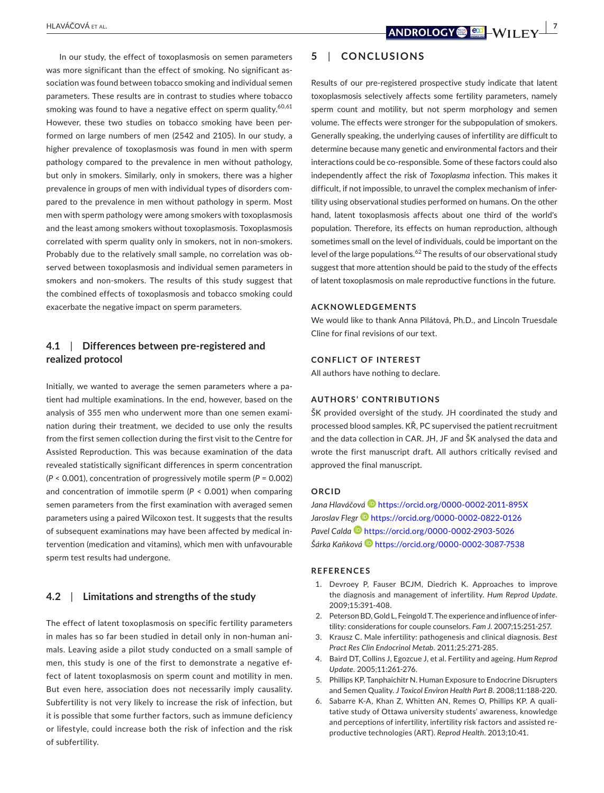In our study, the effect of toxoplasmosis on semen parameters was more significant than the effect of smoking. No significant association was found between tobacco smoking and individual semen parameters. These results are in contrast to studies where tobacco smoking was found to have a negative effect on sperm quality.<sup>60,61</sup> However, these two studies on tobacco smoking have been performed on large numbers of men (2542 and 2105). In our study, a higher prevalence of toxoplasmosis was found in men with sperm pathology compared to the prevalence in men without pathology, but only in smokers. Similarly, only in smokers, there was a higher prevalence in groups of men with individual types of disorders compared to the prevalence in men without pathology in sperm. Most men with sperm pathology were among smokers with toxoplasmosis and the least among smokers without toxoplasmosis. Toxoplasmosis correlated with sperm quality only in smokers, not in non-smokers. Probably due to the relatively small sample, no correlation was observed between toxoplasmosis and individual semen parameters in smokers and non-smokers. The results of this study suggest that the combined effects of toxoplasmosis and tobacco smoking could exacerbate the negative impact on sperm parameters.

## **4.1**  | **Differences between pre-registered and realized protocol**

Initially, we wanted to average the semen parameters where a patient had multiple examinations. In the end, however, based on the analysis of 355 men who underwent more than one semen examination during their treatment, we decided to use only the results from the first semen collection during the first visit to the Centre for Assisted Reproduction. This was because examination of the data revealed statistically significant differences in sperm concentration (*P* < 0.001), concentration of progressively motile sperm (*P* = 0.002) and concentration of immotile sperm (*P* < 0.001) when comparing semen parameters from the first examination with averaged semen parameters using a paired Wilcoxon test. It suggests that the results of subsequent examinations may have been affected by medical intervention (medication and vitamins), which men with unfavourable sperm test results had undergone.

#### **4.2**  | **Limitations and strengths of the study**

The effect of latent toxoplasmosis on specific fertility parameters in males has so far been studied in detail only in non-human animals. Leaving aside a pilot study conducted on a small sample of men, this study is one of the first to demonstrate a negative effect of latent toxoplasmosis on sperm count and motility in men. But even here, association does not necessarily imply causality. Subfertility is not very likely to increase the risk of infection, but it is possible that some further factors, such as immune deficiency or lifestyle, could increase both the risk of infection and the risk of subfertility.

## **5**  | **CONCLUSIONS**

Results of our pre-registered prospective study indicate that latent toxoplasmosis selectively affects some fertility parameters, namely sperm count and motility, but not sperm morphology and semen volume. The effects were stronger for the subpopulation of smokers. Generally speaking, the underlying causes of infertility are difficult to determine because many genetic and environmental factors and their interactions could be co-responsible. Some of these factors could also independently affect the risk of *Toxoplasma* infection. This makes it difficult, if not impossible, to unravel the complex mechanism of infertility using observational studies performed on humans. On the other hand, latent toxoplasmosis affects about one third of the world's population. Therefore, its effects on human reproduction, although sometimes small on the level of individuals, could be important on the level of the large populations.<sup>62</sup> The results of our observational study suggest that more attention should be paid to the study of the effects of latent toxoplasmosis on male reproductive functions in the future.

#### **ACKNOWLEDGEMENTS**

We would like to thank Anna Pilátová, Ph.D., and Lincoln Truesdale Cline for final revisions of our text.

#### **CONFLICT OF INTEREST**

All authors have nothing to declare.

#### **AUTHORS' CONTRIBUTIONS**

ŠK provided oversight of the study. JH coordinated the study and processed blood samples. KŘ, PC supervised the patient recruitment and the data collection in CAR. JH, JF and ŠK analysed the data and wrote the first manuscript draft. All authors critically revised and approved the final manuscript.

#### **ORCID**

*Jana Hlaváčov[á](https://orcid.org/0000-0002-2011-895X)* <https://orcid.org/0000-0002-2011-895X> *Jaroslav Flegr* <https://orcid.org/0000-0002-0822-0126> *Pavel Calda* <https://orcid.org/0000-0002-2903-5026> *Šárka Kaňkov[á](https://orcid.org/0000-0002-3087-7538)* <https://orcid.org/0000-0002-3087-7538>

#### **REFERENCES**

- 1. Devroey P, Fauser BCJM, Diedrich K. Approaches to improve the diagnosis and management of infertility. *Hum Reprod Update*. 2009;15:391-408.
- 2. Peterson BD, Gold L, Feingold T. The experience and influence of infertility: considerations for couple counselors. *Fam J*. 2007;15:251-257.
- 3. Krausz C. Male infertility: pathogenesis and clinical diagnosis. *Best Pract Res Clin Endocrinol Metab*. 2011;25:271-285.
- 4. Baird DT, Collins J, Egozcue J, et al. Fertility and ageing. *Hum Reprod Update*. 2005;11:261-276.
- 5. Phillips KP, Tanphaichitr N. Human Exposure to Endocrine Disrupters and Semen Quality. *J Toxicol Environ Health Part B*. 2008;11:188-220.
- 6. Sabarre K-A, Khan Z, Whitten AN, Remes O, Phillips KP. A qualitative study of Ottawa university students' awareness, knowledge and perceptions of infertility, infertility risk factors and assisted reproductive technologies (ART). *Reprod Health*. 2013;10:41.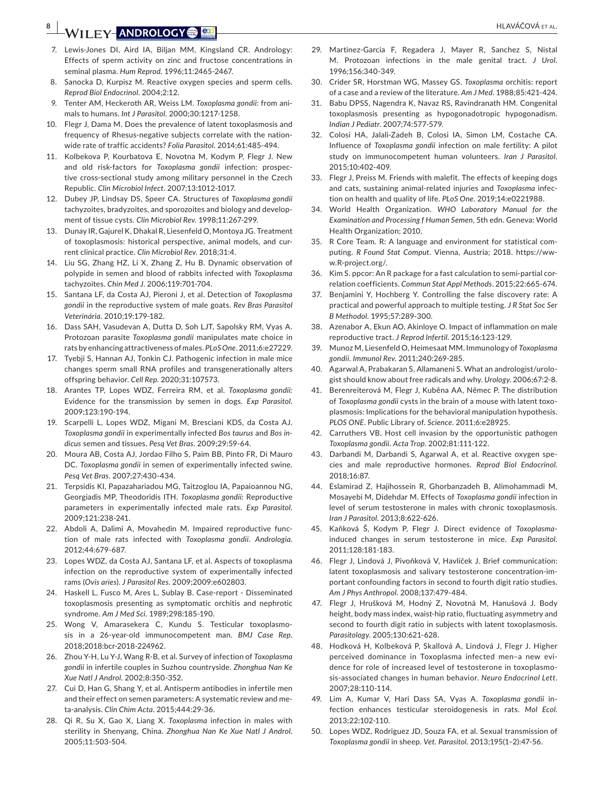# **BENEL EXECUTIVE CON CONTRACT ALLEGAL CONTRACT ALLEGAL CONTRACT ALLEGAL CONTRACT ALLEGAL CONTRACT ALLEGAL CONTRACT ALL**

- 7. Lewis-Jones DI, Aird IA, Biljan MM, Kingsland CR. Andrology: Effects of sperm activity on zinc and fructose concentrations in seminal plasma. *Hum Reprod*. 1996;11:2465-2467.
- 8. Sanocka D, Kurpisz M. Reactive oxygen species and sperm cells. *Reprod Biol Endocrinol*. 2004;2:12.
- 9. Tenter AM, Heckeroth AR, Weiss LM. *Toxoplasma gondii:* from animals to humans. *Int J Parasitol*. 2000;30:1217-1258.
- 10. Flegr J, Dama M. Does the prevalence of latent toxoplasmosis and frequency of Rhesus-negative subjects correlate with the nationwide rate of traffic accidents? *Folia Parasitol*. 2014;61:485-494.
- 11. Kolbekova P, Kourbatova E, Novotna M, Kodym P, Flegr J. New and old risk-factors for *Toxoplasma gondii* infection: prospective cross-sectional study among military personnel in the Czech Republic. *Clin Microbiol Infect*. 2007;13:1012-1017.
- 12. Dubey JP, Lindsay DS, Speer CA. Structures of *Toxoplasma gondii* tachyzoites, bradyzoites, and sporozoites and biology and development of tissue cysts. *Clin Microbiol Rev*. 1998;11:267-299.
- 13. Dunay IR, Gajurel K, Dhakal R, Liesenfeld O, Montoya JG. Treatment of toxoplasmosis: historical perspective, animal models, and current clinical practice. *Clin Microbiol Rev*. 2018;31:4.
- 14. Liu SG, Zhang HZ, Li X, Zhang Z, Hu B. Dynamic observation of polypide in semen and blood of rabbits infected with *Toxoplasma* tachyzoites. *Chin Med J*. 2006;119:701-704.
- 15. Santana LF, da Costa AJ, Pieroni J, et al. Detection of *Toxoplasma gondii* in the reproductive system of male goats. *Rev Bras Parasitol Veterinária*. 2010;19:179-182.
- 16. Dass SAH, Vasudevan A, Dutta D, Soh LJT, Sapolsky RM, Vyas A. Protozoan parasite *Toxoplasma gondii* manipulates mate choice in rats by enhancing attractiveness of males. *PLoS One*. 2011;6:e27229.
- 17. Tyebji S, Hannan AJ, Tonkin CJ. Pathogenic infection in male mice changes sperm small RNA profiles and transgenerationally alters offspring behavior. *Cell Rep*. 2020;31:107573.
- 18. Arantes TP, Lopes WDZ, Ferreira RM, et al. *Toxoplasma gondii:* Evidence for the transmission by semen in dogs. *Exp Parasitol*. 2009;123:190-194.
- 19. Scarpelli L, Lopes WDZ, Migani M, Bresciani KDS, da Costa AJ. *Toxoplasma gondii* in experimentally infected *Bos taurus* and *Bos indicus* semen and tissues. *Pesq Vet Bras*. 2009;29:59-64.
- 20. Moura AB, Costa AJ, Jordao Filho S, Paim BB, Pinto FR, Di Mauro DC. *Toxoplasma gondii* in semen of experimentally infected swine. *Pesq Vet Bras*. 2007;27:430-434.
- 21. Terpsidis KI, Papazahariadou MG, Taitzoglou IA, Papaioannou NG, Georgiadis MP, Theodoridis ITH. *Toxoplasma gondii:* Reproductive parameters in experimentally infected male rats. *Exp Parasitol*. 2009;121:238-241.
- 22. Abdoli A, Dalimi A, Movahedin M. Impaired reproductive function of male rats infected with *Toxoplasma gondii*. *Andrologia*. 2012;44:679-687.
- 23. Lopes WDZ, da Costa AJ, Santana LF, et al. Aspects of toxoplasma infection on the reproductive system of experimentally infected rams (*Ovis aries*). *J Parasitol Res*. 2009;2009:e602803.
- 24. Haskell L, Fusco M, Ares L, Sublay B. Case-report Disseminated toxoplasmosis presenting as symptomatic orchitis and nephrotic syndrome. *Am J Med Sci*. 1989;298:185-190.
- 25. Wong V, Amarasekera C, Kundu S. Testicular toxoplasmosis in a 26-year-old immunocompetent man. *BMJ Case Rep*. 2018;2018:bcr-2018-224962.
- 26. Zhou Y-H, Lu Y-J, Wang R-B, et al. Survey of infection of *Toxoplasma gondii* in infertile couples in Suzhou countryside. *Zhonghua Nan Ke Xue Natl J Androl*. 2002;8:350-352.
- 27. Cui D, Han G, Shang Y, et al. Antisperm antibodies in infertile men and their effect on semen parameters: A systematic review and meta-analysis. *Clin Chim Acta*. 2015;444:29-36.
- 28. Qi R, Su X, Gao X, Liang X. *Toxoplasma* infection in males with sterility in Shenyang, China. *Zhonghua Nan Ke Xue Natl J Androl*. 2005;11:503-504.
- 29. Martinez-Garcia F, Regadera J, Mayer R, Sanchez S, Nistal M. Protozoan infections in the male genital tract. *J Urol*. 1996;156:340-349.
- 30. Crider SR, Horstman WG, Massey GS. *Toxoplasma* orchitis: report of a case and a review of the literature. *Am J Med*. 1988;85:421-424.
- 31. Babu DPSS, Nagendra K, Navaz RS, Ravindranath HM. Congenital toxoplasmosis presenting as hypogonadotropic hypogonadism. *Indian J Pediatr*. 2007;74:577-579.
- 32. Colosi HA, Jalali-Zadeh B, Colosi IA, Simon LM, Costache CA. Influence of *Toxoplasma gondii* infection on male fertility: A pilot study on immunocompetent human volunteers. *Iran J Parasitol*. 2015;10:402-409.
- 33. Flegr J, Preiss M. Friends with malefit. The effects of keeping dogs and cats, sustaining animal-related injuries and *Toxoplasma* infection on health and quality of life. *PLoS One*. 2019;14:e0221988.
- 34. World Health Organization. *WHO Laboratory Manual for the Examination and Processing f Human Semen*, 5th edn. Geneva: World Health Organization; 2010.
- 35. R Core Team. R: A language and environment for statistical computing. *R Found Stat Comput*. Vienna, Austria; 2018. [https://ww](https://www.R-project.org/)[w.R-project.org/](https://www.R-project.org/).
- 36. Kim S. ppcor: An R package for a fast calculation to semi-partial correlation coefficients. *Commun Stat Appl Methods*. 2015;22:665-674.
- 37. Benjamini Y, Hochberg Y. Controlling the false discovery rate: A practical and powerful approach to multiple testing. *J R Stat Soc Ser B Methodol*. 1995;57:289-300.
- 38. Azenabor A, Ekun AO, Akinloye O. Impact of inflammation on male reproductive tract. *J Reprod Infertil*. 2015;16:123-129.
- 39. Munoz M, Liesenfeld O, Heimesaat MM. Immunology of *Toxoplasma gondii*. *Immunol Rev*. 2011;240:269-285.
- 40. Agarwal A, Prabakaran S, Allamaneni S. What an andrologist/urologist should know about free radicals and why. *Urology*. 2006;67:2-8.
- 41. Berenreiterová M, Flegr J, Kuběna AA, Němec P. The distribution of *Toxoplasma gondii* cysts in the brain of a mouse with latent toxoplasmosis: Implications for the behavioral manipulation hypothesis. *PLOS ONE*. Public Library of. *Science*. 2011;6:e28925.
- 42. Carruthers VB. Host cell invasion by the opportunistic pathogen *Toxoplasma gondii*. *Acta Trop*. 2002;81:111-122.
- 43. Darbandi M, Darbandi S, Agarwal A, et al. Reactive oxygen species and male reproductive hormones. *Reprod Biol Endocrinol*. 2018;16:87.
- 44. Eslamirad Z, Hajihossein R, Ghorbanzadeh B, Alimohammadi M, Mosayebi M, Didehdar M. Effects of *Toxoplasma gondii* infection in level of serum testosterone in males with chronic toxoplasmosis. *Iran J Parasitol*. 2013;8:622-626.
- 45. Kaňková Š, Kodym P, Flegr J. Direct evidence of *Toxoplasma*induced changes in serum testosterone in mice. *Exp Parasitol*. 2011;128:181-183.
- 46. Flegr J, Lindová J, Pivoňková V, Havlíček J. Brief communication: latent toxoplasmosis and salivary testosterone concentration-important confounding factors in second to fourth digit ratio studies. *Am J Phys Anthropol*. 2008;137:479-484.
- 47. Flegr J, Hrušková M, Hodný Z, Novotná M, Hanušová J. Body height, body mass index, waist-hip ratio, fluctuating asymmetry and second to fourth digit ratio in subjects with latent toxoplasmosis. *Parasitology*. 2005;130:621-628.
- 48. Hodková H, Kolbeková P, Skallová A, Lindová J, Flegr J. Higher perceived dominance in Toxoplasma infected men–a new evidence for role of increased level of testosterone in toxoplasmosis-associated changes in human behavior. *Neuro Endocrinol Lett*. 2007;28:110-114.
- 49. Lim A, Kumar V, Hari Dass SA, Vyas A. *Toxoplasma gondii* infection enhances testicular steroidogenesis in rats. *Mol Ecol*. 2013;22:102-110.
- 50. Lopes WDZ, Rodriguez JD, Souza FA, et al. Sexual transmission of *Toxoplasma gondii* in sheep. *Vet. Parasitol*. 2013;195(1–2):47-56.